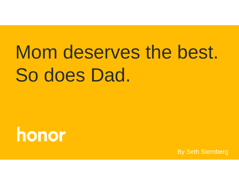# Mom deserves the best. So does Dad.



By Seth Sternberg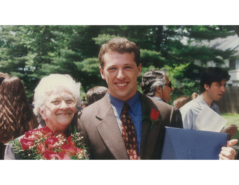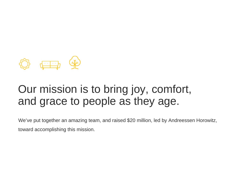

## Our mission is to bring joy, comfort, and grace to people as they age.

We've put together an amazing team, and raised \$20 million, led by Andreessen Horowitz, toward accomplishing this mission.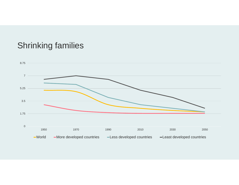#### Shrinking families

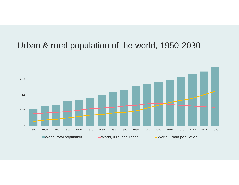#### Urban & rural population of the world, 1950-2030

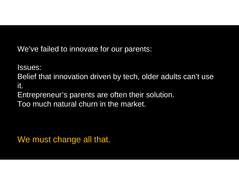We've failed to innovate for our parents:

Issues:

Belief that innovation driven by tech, older adults can't use it.

Entrepreneur's parents are often their solution.

Too much natural churn in the market.

We must change all that.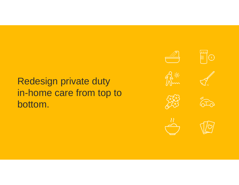### Redesign private duty in-home care from top to bottom.

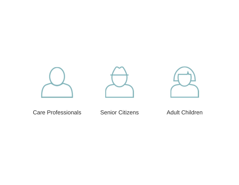





Care Professionals Senior Citizens Adult Children

Senior Citizens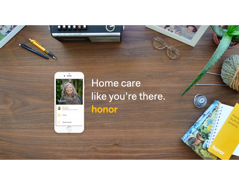

**三** Visits

 $\boxed{\bigcirc}$  Share photo

 $\overline{\bigcap}$ 

## Home care like you're there.

Home

**parent** 

honor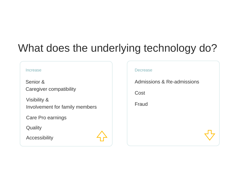# What does the underlying technology do?

#### Increase

Senior &Caregiver compatibility

Visibility & Involvement for family members

Care Pro earnings

**Quality** 

Accessibility



#### **Decrease**

Admissions & Re-admissions

Cost

Fraud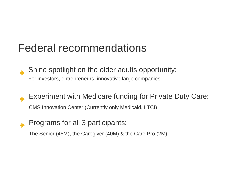### Federal recommendations

- Shine spotlight on the older adults opportunity: For investors, entrepreneurs, innovative large companies
- Experiment with Medicare funding for Private Duty Care: CMS Innovation Center (Currently only Medicaid, LTCI)
- 
- Programs for all 3 participants:
- The Senior (45M), the Caregiver (40M) & the Care Pro (2M)